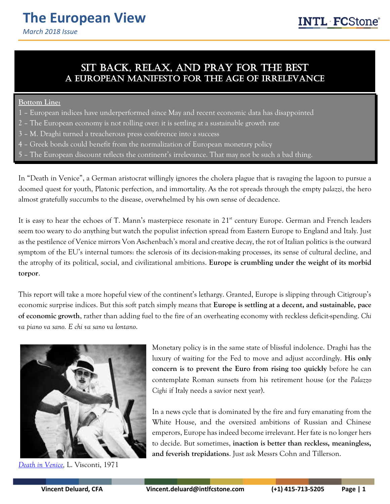### Sit back, relax, and pray for the best A European Manifesto for the age of irrelevance

### **Bottom Line:**

- 1 European indices have underperformed since May and recent economic data has disappointed
- 2 The European economy is not rolling over: it is settling at a sustainable growth rate
- 3 M. Draghi turned a treacherous press conference into a success
- 4 Greek bonds could benefit from the normalization of European monetary policy
- 5 The European discount reflects the continent's irrelevance. That may not be such a bad thing.

In "Death in Venice", a German aristocrat willingly ignores the cholera plague that is ravaging the lagoon to pursue a doomed quest for youth, Platonic perfection, and immortality. As the rot spreads through the empty *palazzi*, the hero almost gratefully succumbs to the disease, overwhelmed by his own sense of decadence.

It is easy to hear the echoes of T. Mann's masterpiece resonate in 21<sup>st</sup> century Europe. German and French leaders seem too weary to do anything but watch the populist infection spread from Eastern Europe to England and Italy. Just as the pestilence of Venice mirrors Von Aschenbach's moral and creative decay, the rot of Italian politics is the outward symptom of the EU's internal tumors: the sclerosis of its decision-making processes, its sense of cultural decline, and the atrophy of its political, social, and civilizational ambitions. **Europe is crumbling under the weight of its morbid torpor**.

This report will take a more hopeful view of the continent's lethargy. Granted, Europe is slipping through Citigroup's economic surprise indices. But this soft patch simply means that **Europe is settling at a decent, and sustainable, pace of economic growth**, rather than adding fuel to the fire of an overheating economy with reckless deficit-spending. *Chi va piano va sano. E chi va sano va lontano*.



*[Death in Venice,](https://en.wikipedia.org/wiki/Death_in_Venice_(film))* L. Visconti, 1971

Monetary policy is in the same state of blissful indolence. Draghi has the luxury of waiting for the Fed to move and adjust accordingly. **His only concern is to prevent the Euro from rising too quickly** before he can contemplate Roman sunsets from his retirement house (or the *Palazzo Cighi* if Italy needs a savior next year).

In a news cycle that is dominated by the fire and fury emanating from the White House, and the oversized ambitions of Russian and Chinese emperors, Europe has indeed become irrelevant. Her fate is no longer hers to decide. But sometimes, **inaction is better than reckless, meaningless, and feverish trepidations**. Just ask Messrs Cohn and Tillerson.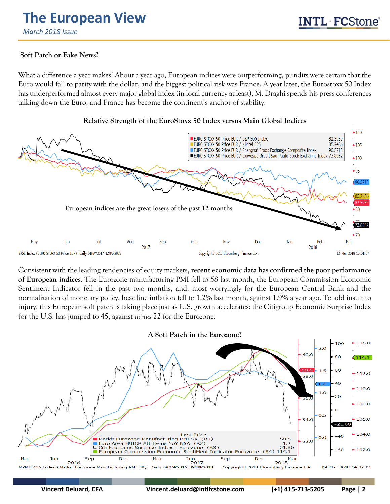## **Soft Patch or Fake News?**

What a difference a year makes! About a year ago, European indices were outperforming, pundits were certain that the Euro would fall to parity with the dollar, and the biggest political risk was France. A year later, the Eurostoxx 50 Index has underperformed almost every major global index (in local currency at least), M. Draghi spends his press conferences talking down the Euro, and France has become the continent's anchor of stability.



Consistent with the leading tendencies of equity markets, **recent economic data has confirmed the poor performance of European indices**. The Eurozone manufacturing PMI fell to 58 last month, the European Commission Economic Sentiment Indicator fell in the past two months, and, most worryingly for the European Central Bank and the normalization of monetary policy, headline inflation fell to 1.2% last month, against 1.9% a year ago. To add insult to injury, this European soft patch is taking place just as U.S. growth accelerates: the Citigroup Economic Surprise Index for the U.S. has jumped to 45, against *minus* 22 for the Eurozone.

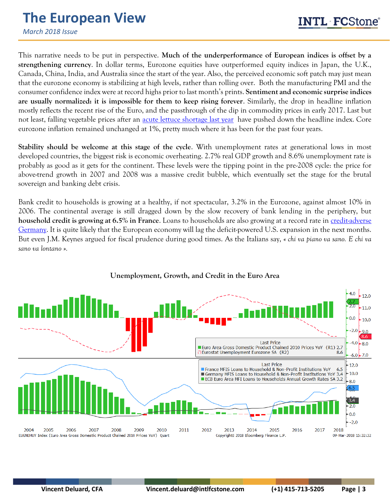*March 2018 Issue*

This narrative needs to be put in perspective. **Much of the underperformance of European indices is offset by a**<br>st<mark>rengthening currency</mark>. In dollar terms, Eurozone equities have outperformed equity indices in Japan, the U **strengthening currency**. In dollar terms, Eurozone equities have outperformed equity indices in Japan, the U.K., Canada, China, India, and Australia since the start of the year. Also, the perceived economic soft patch may just mean that the eurozone economy is stabilizing at high levels, rather than rolling over. Both the manufacturing PMI and the consumer confidence index were at record highs prior to last month's prints. **Sentiment and economic surprise indices are usually normalized: it is impossible for them to keep rising forever**. Similarly, the drop in headline inflation mostly reflects the recent rise of the Euro, and the passthrough of the dip in commodity prices in early 2017. Last but not least, falling vegetable prices after an [acute lettuce shortage last year](https://www.ft.com/content/89e2d7bc-1bc7-11e8-aaca-4574d7dabfb6) have pushed down the headline index. Core eurozone inflation remained unchanged at 1%, pretty much where it has been for the past four years.

**Stability should be welcome at this stage of the cycle**. With unemployment rates at generational lows in most developed countries, the biggest risk is economic overheating. 2.7% real GDP growth and 8.6% unemployment rate is probably as good as it gets for the continent. These levels were the tipping point in the pre-2008 cycle: the price for above-trend growth in 2007 and 2008 was a massive credit bubble, which eventually set the stage for the brutal sovereign and banking debt crisis.

Bank credit to households is growing at a healthy, if not spectacular, 3.2% in the Eurozone, against almost 10% in 2006. The continental average is still dragged down by the slow recovery of bank lending in the periphery, but **household credit is growing at 6.5% in France**. Loans to households are also growing at a record rate in **credit-adverse** [Germany.](https://marketintel.intlfcstone.com/MISecure/Flex/ViewPdf.aspx?Item=212923) It is quite likely that the European economy will lag the deficit-powered U.S. expansion in the next months. But even J.M. Keynes argued for fiscal prudence during good times. As the Italians say, *« chi va piano va sano. E chi va sano va lontano ».*



#### **Unemployment, Growth, and Credit in the Euro Area**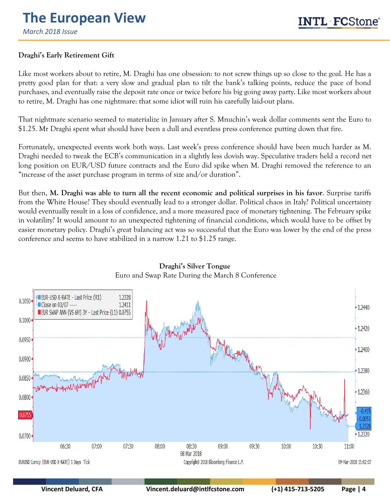*March 2018 Issue*

# **Draghi's Early Retirement Gift**

Like most workers about to retire, M. Draghi has one obsession: to not screw things up so close to the goal. He has a pretty good plan for that: a very slow and gradual plan to tilt the bank's talking points, reduce the pace of bond purchases, and eventually raise the deposit rate once or twice before his big going away party. Like most workers about to retire, M. Draghi has one nightmare: that some idiot will ruin his carefully laid-out plans.

That nightmare scenario seemed to materialize in January after S. Mnuchin's weak dollar comments sent the Euro to \$1.25. Mr Draghi spent what should have been a dull and eventless press conference putting down that fire.

Fortunately, unexpected events work both ways. Last week's press conference should have been much harder as M. Draghi needed to tweak the ECB's communication in a slightly less dovish way. Speculative traders held a record net long position on EUR/USD future contracts and the Euro did spike when M. Draghi removed the reference to an "increase of the asset purchase program in terms of size and/or duration".

But then, **M. Draghi was able to turn all the recent economic and political surprises in his favor**. Surprise tariffs from the White House? They should eventually lead to a stronger dollar. Political chaos in Italy? Political uncertainty would eventually result in a loss of confidence, and a more measured pace of monetary tightening. The February spike in volatility? It would amount to an unexpected tightening of financial conditions, which would have to be offset by easier monetary policy. Draghi's great balancing act was so successful that the Euro was lower by the end of the press conference and seems to have stabilized in a narrow 1.21 to \$1.25 range.



### **Draghi's Silver Tongue** Euro and Swap Rate During the March 8 Conference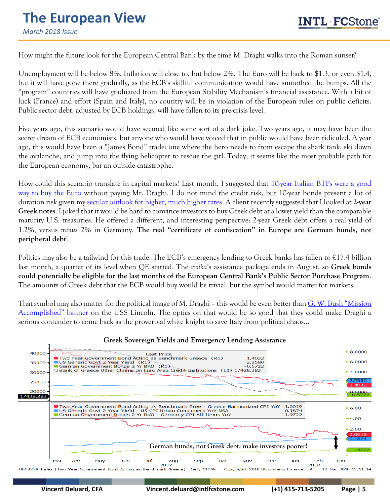## **The European View** *March 2018 Issue*

 How might the future look for the European Central Bank by the time M. Draghi walks into the Roman sunset?

Unemployment will be below 8%. Inflation will close to, but below 2%. The Euro will be back to \$1.3, or even \$1.4, but it will have gone there gradually, as the ECB's skillful communication would have smoothed the bumps. All the "program" countries will have graduated from the European Stability Mechanism's financial assistance. With a bit of luck (France) and effort (Spain and Italy), no country will be in violation of the European rules on public deficits. Public sector debt, adjusted by ECB holdings, will have fallen to its pre-crisis level.

Five years ago, this scenario would have seemed like some sort of a dark joke. Two years ago, it may have been the secret dream of ECB economists, but anyone who would have voiced that in public would have been ridiculed. A year ago, this would have been a "James Bond" trade: one where the hero needs to from escape the shark tank, ski down the avalanche, and jump into the flying helicopter to rescue the girl. Today, it seems like the most probable path for the European economy, bar an outside catastrophe.

How could this scenario translate in capital markets? Last month, I suggested that [10-year Italian BTPs were a good](https://marketintel.intlfcstone.com/MISecure/Flex/ViewPdf.aspx?Item=224048)  [way to buy the Euro](https://marketintel.intlfcstone.com/MISecure/Flex/ViewPdf.aspx?Item=224048) without paying Mr. Draghi. I do not mind the credit risk, but 10-year bonds present a lot of duration risk given my [secular outlook for higher, much higher rates.](https://marketintel.intlfcstone.com/MISecure/Flex/ViewPdf.aspx?Item=223177) A client recently suggested that I looked at **2-year Greek notes**. I joked that it would be hard to convince investors to buy Greek debt at a lower yield than the comparable maturity U.S. treasuries. He offered a different, and interesting perspective: 2-year Greek debt offers a real yield of 1.2%, versus *minus* 2% in Germany. **The real "certificate of confiscation" in Europe are German bunds, not peripheral debt**!

Politics may also be a tailwind for this trade. The ECB's emergency lending to Greek banks has fallen to €17.4 billion last month, a quarter of its level when QE started. The *troika*'s assistance package ends in August, so **Greek bonds could potentially be eligible for the last months of the European Central Bank's Public Sector Purchase Program**. The amounts of Greek debt that the ECB would buy would be trivial, but the symbol would matter for markets.

That symbol may also matter for the political image of M. Draghi – this would be even better than [G. W. Bush "Mission](https://www.google.com/search?q=george+w+bush+mission+accomplished+picture&rlz=1C1GGRV_enUS751US751&tbm=isch&source=iu&ictx=1&fir=iPKX4DLhi6KnUM%253A%252Co8Lou8s1xRBEXM%252C_&usg=__tCjAm61p4v7ADgnYs73q6dhLVOk%3D&sa=X&ved=0ahUKEwir3bHQ1ufZAhUBb60KHWbSAjMQ9QEIKzAA#imgrc=iPKX4DLhi6KnUM:)  A[ccomplished" banner](https://www.google.com/search?q=george+w+bush+mission+accomplished+picture&rlz=1C1GGRV_enUS751US751&tbm=isch&source=iu&ictx=1&fir=iPKX4DLhi6KnUM%253A%252Co8Lou8s1xRBEXM%252C_&usg=__tCjAm61p4v7ADgnYs73q6dhLVOk%3D&sa=X&ved=0ahUKEwir3bHQ1ufZAhUBb60KHWbSAjMQ9QEIKzAA#imgrc=iPKX4DLhi6KnUM:) on the USS Lincoln. The optics on that would be so good that they could make Draghi a serious contender to come back as the proverbial white knight to save Italy from political chaos…



#### **Greek Sovereign Yields and Emergency Lending Assistance**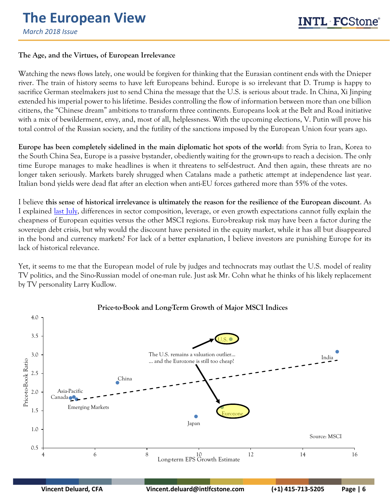## **The Age, and the Virtues, of European Irrelevance**

Watching the news flows lately, one would be forgiven for thinking that the Eurasian continent ends with the Dnieper river. The train of history seems to have left Europeans behind. Europe is so irrelevant that D. Trump is happy to sacrifice German steelmakers just to send China the message that the U.S. is serious about trade. In China, Xi Jinping extended his imperial power to his lifetime. Besides controlling the flow of information between more than one billion citizens, the "Chinese dream" ambitions to transform three continents. Europeans look at the Belt and Road initiative with a mix of bewilderment, envy, and, most of all, helplessness. With the upcoming elections, V. Putin will prove his total control of the Russian society, and the futility of the sanctions imposed by the European Union four years ago.

**Europe has been completely sidelined in the main diplomatic hot spots of the world**: from Syria to Iran, Korea to the South China Sea, Europe is a passive bystander, obediently waiting for the grown-ups to reach a decision. The only time Europe manages to make headlines is when it threatens to self-destruct. And then again, these threats are no longer taken seriously. Markets barely shrugged when Catalans made a pathetic attempt at independence last year. Italian bond yields were dead flat after an election when anti-EU forces gathered more than 55% of the votes.

I believe **this sense of historical irrelevance is ultimately the reason for the resilience of the European discount**. As I explained [last July,](https://marketintel.intlfcstone.com/MISecure/Flex/ViewPdf.aspx?Item=198565) differences in sector composition, leverage, or even growth expectations cannot fully explain the cheapness of European equities versus the other MSCI regions. Euro-breakup risk may have been a factor during the sovereign debt crisis, but why would the discount have persisted in the equity market, while it has all but disappeared in the bond and currency markets? For lack of a better explanation, I believe investors are punishing Europe for its lack of historical relevance.

Yet, it seems to me that the European model of rule by judges and technocrats may outlast the U.S. model of reality TV politics, and the Sino-Russian model of one-man rule. Just ask Mr. Cohn what he thinks of his likely replacement by TV personality Larry Kudlow.



### **Price-to-Book and Long-Term Growth of Major MSCI Indices**